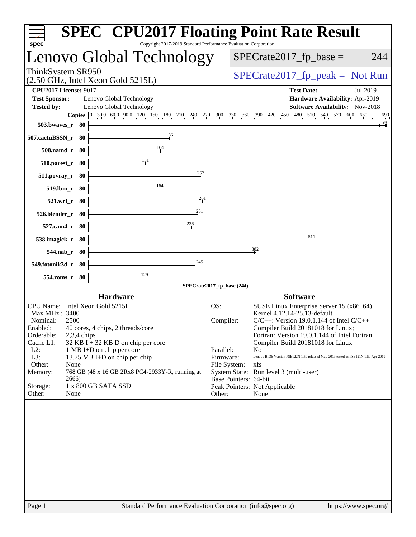| spec <sup>®</sup>                                                        | <b>SPEC<sup>®</sup> CPU2017 Floating Point Rate Result</b><br>Copyright 2017-2019 Standard Performance Evaluation Corporation |                            |                                                                                    |
|--------------------------------------------------------------------------|-------------------------------------------------------------------------------------------------------------------------------|----------------------------|------------------------------------------------------------------------------------|
|                                                                          | Lenovo Global Technology                                                                                                      |                            | $SPECrate2017_fp\_base =$<br>244                                                   |
| ThinkSystem SR950<br>$(2.50 \text{ GHz}, \text{Intel Xeon Gold } 5215L)$ |                                                                                                                               |                            | $SPECrate2017fr peak = Not Run$                                                    |
| <b>CPU2017 License: 9017</b>                                             |                                                                                                                               |                            | <b>Test Date:</b><br>Jul-2019                                                      |
| <b>Test Sponsor:</b>                                                     | Lenovo Global Technology                                                                                                      |                            | Hardware Availability: Apr-2019                                                    |
| <b>Tested by:</b>                                                        | Lenovo Global Technology                                                                                                      |                            | <b>Software Availability:</b> Nov-2018                                             |
| 503.bwayes r 80                                                          | <b>Copies</b> 0 30.0 60.0 90.0 120 150 180 210 240 270 300 330 360 390 420 450                                                |                            | 480 510 540 570 600 630<br>690<br>$\frac{680}{4}$                                  |
| 507.cactuBSSN_r 80                                                       | 186                                                                                                                           |                            |                                                                                    |
| 508.namd_r 80                                                            | 164                                                                                                                           |                            |                                                                                    |
| 510.parest_r 80                                                          | 131                                                                                                                           |                            |                                                                                    |
| $511. povray_r$ 80                                                       | 257                                                                                                                           |                            |                                                                                    |
| 519.lbm_r 80                                                             | 164                                                                                                                           |                            |                                                                                    |
| 521.wrf_r 80                                                             | 261<br>251                                                                                                                    |                            |                                                                                    |
| 526.blender_r 80                                                         | 236                                                                                                                           |                            |                                                                                    |
| 527.cam4_r 80<br>538.imagick_r 80                                        |                                                                                                                               |                            | 511                                                                                |
| 544.nab_r 80                                                             |                                                                                                                               |                            | 382                                                                                |
| 549.fotonik3d_r 80                                                       | 245                                                                                                                           |                            |                                                                                    |
| 554.roms_r 80                                                            | $\frac{129}{2}$                                                                                                               |                            |                                                                                    |
|                                                                          |                                                                                                                               | SPECrate2017_fp_base (244) |                                                                                    |
|                                                                          | <b>Hardware</b>                                                                                                               |                            | <b>Software</b>                                                                    |
| CPU Name: Intel Xeon Gold 5215L                                          |                                                                                                                               | OS:                        | SUSE Linux Enterprise Server 15 (x86_64)                                           |
| Max MHz.: 3400                                                           |                                                                                                                               |                            | Kernel 4.12.14-25.13-default                                                       |
| Nominal:<br>2500                                                         |                                                                                                                               | Compiler:                  | $C/C++$ : Version 19.0.1.144 of Intel $C/C++$                                      |
| Enabled:                                                                 | 40 cores, 4 chips, 2 threads/core                                                                                             |                            | Compiler Build 20181018 for Linux;                                                 |
| 2,3,4 chips<br>Orderable:<br>Cache L1:                                   | $32$ KB I + 32 KB D on chip per core                                                                                          |                            | Fortran: Version 19.0.1.144 of Intel Fortran<br>Compiler Build 20181018 for Linux  |
| $L2$ :                                                                   | 1 MB I+D on chip per core                                                                                                     | Parallel:                  | N <sub>o</sub>                                                                     |
| L3:                                                                      | 13.75 MB I+D on chip per chip                                                                                                 | Firmware:                  | Lenovo BIOS Version PSE122N 1.50 released May-2019 tested as PSE121N 1.50 Apr-2019 |
| Other:<br>None                                                           |                                                                                                                               | File System:               | xfs                                                                                |
| Memory:<br>2666)                                                         | 768 GB (48 x 16 GB 2Rx8 PC4-2933Y-R, running at                                                                               |                            | System State: Run level 3 (multi-user)                                             |
| Storage:                                                                 | 1 x 800 GB SATA SSD                                                                                                           | Base Pointers: 64-bit      | Peak Pointers: Not Applicable                                                      |
| None<br>Other:                                                           |                                                                                                                               | Other:                     | None                                                                               |
|                                                                          |                                                                                                                               |                            |                                                                                    |
| Page 1                                                                   | Standard Performance Evaluation Corporation (info@spec.org)                                                                   |                            | https://www.spec.org/                                                              |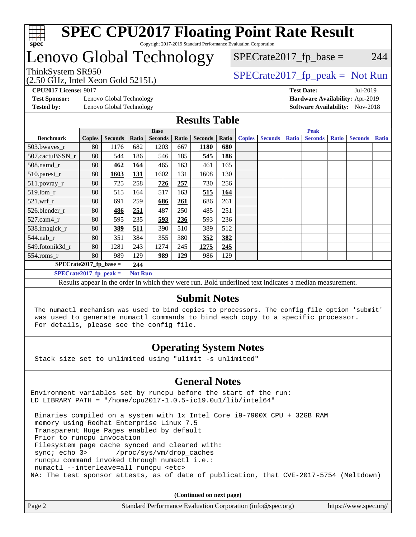

### Lenovo Global Technology

 $SPECTate2017<sub>fr</sub> base = 244$ 

(2.50 GHz, Intel Xeon Gold 5215L)

 $SPECTate2017<sub>fr</sub> peak = Not Run$ 

**[CPU2017 License:](http://www.spec.org/auto/cpu2017/Docs/result-fields.html#CPU2017License)** 9017 **[Test Date:](http://www.spec.org/auto/cpu2017/Docs/result-fields.html#TestDate)** Jul-2019

**[Test Sponsor:](http://www.spec.org/auto/cpu2017/Docs/result-fields.html#TestSponsor)** Lenovo Global Technology **[Hardware Availability:](http://www.spec.org/auto/cpu2017/Docs/result-fields.html#HardwareAvailability)** Apr-2019 **[Tested by:](http://www.spec.org/auto/cpu2017/Docs/result-fields.html#Testedby)** Lenovo Global Technology **[Software Availability:](http://www.spec.org/auto/cpu2017/Docs/result-fields.html#SoftwareAvailability)** Nov-2018

#### **[Results Table](http://www.spec.org/auto/cpu2017/Docs/result-fields.html#ResultsTable)**

|                           | <b>Base</b>   |                |                | <b>Peak</b>    |            |                |       |               |                |              |                |              |                |              |
|---------------------------|---------------|----------------|----------------|----------------|------------|----------------|-------|---------------|----------------|--------------|----------------|--------------|----------------|--------------|
| <b>Benchmark</b>          | <b>Copies</b> | <b>Seconds</b> | Ratio          | <b>Seconds</b> | Ratio      | <b>Seconds</b> | Ratio | <b>Copies</b> | <b>Seconds</b> | <b>Ratio</b> | <b>Seconds</b> | <b>Ratio</b> | <b>Seconds</b> | <b>Ratio</b> |
| 503.bwaves_r              | 80            | 1176           | 682            | 1203           | 667        | 1180           | 680   |               |                |              |                |              |                |              |
| 507.cactuBSSN r           | 80            | 544            | 186            | 546            | 185        | 545            | 186   |               |                |              |                |              |                |              |
| $508$ .namd $r$           | 80            | 462            | 164            | 465            | 163        | 461            | 165   |               |                |              |                |              |                |              |
| 510.parest_r              | 80            | 1603           | 131            | 1602           | 131        | 1608           | 130   |               |                |              |                |              |                |              |
| 511.povray_r              | 80            | 725            | 258            | 726            | 257        | 730            | 256   |               |                |              |                |              |                |              |
| 519.1bm r                 | 80            | 515            | 164            | 517            | 163        | 515            | 164   |               |                |              |                |              |                |              |
| $521$ .wrf r              | 80            | 691            | 259            | 686            | 261        | 686            | 261   |               |                |              |                |              |                |              |
| 526.blender r             | 80            | <b>486</b>     | 251            | 487            | 250        | 485            | 251   |               |                |              |                |              |                |              |
| $527.cam4_r$              | 80            | 595            | 235            | 593            | 236        | 593            | 236   |               |                |              |                |              |                |              |
| 538.imagick_r             | 80            | 389            | 511            | 390            | 510        | 389            | 512   |               |                |              |                |              |                |              |
| 544.nab r                 | 80            | 351            | 384            | 355            | 380        | 352            | 382   |               |                |              |                |              |                |              |
| 549.fotonik3d r           | 80            | 1281           | 243            | 1274           | 245        | 1275           | 245   |               |                |              |                |              |                |              |
| $554$ .roms $r$           | 80            | 989            | 129            | 989            | <u>129</u> | 986            | 129   |               |                |              |                |              |                |              |
| $SPECrate2017_fp\_base =$ |               |                | 244            |                |            |                |       |               |                |              |                |              |                |              |
| $SPECrate2017_fp_peak =$  |               |                | <b>Not Run</b> |                |            |                |       |               |                |              |                |              |                |              |

Results appear in the [order in which they were run](http://www.spec.org/auto/cpu2017/Docs/result-fields.html#RunOrder). Bold underlined text [indicates a median measurement](http://www.spec.org/auto/cpu2017/Docs/result-fields.html#Median).

#### **[Submit Notes](http://www.spec.org/auto/cpu2017/Docs/result-fields.html#SubmitNotes)**

 The numactl mechanism was used to bind copies to processors. The config file option 'submit' was used to generate numactl commands to bind each copy to a specific processor. For details, please see the config file.

#### **[Operating System Notes](http://www.spec.org/auto/cpu2017/Docs/result-fields.html#OperatingSystemNotes)**

Stack size set to unlimited using "ulimit -s unlimited"

#### **[General Notes](http://www.spec.org/auto/cpu2017/Docs/result-fields.html#GeneralNotes)**

Environment variables set by runcpu before the start of the run: LD LIBRARY PATH = "/home/cpu2017-1.0.5-ic19.0u1/lib/intel64"

 Binaries compiled on a system with 1x Intel Core i9-7900X CPU + 32GB RAM memory using Redhat Enterprise Linux 7.5 Transparent Huge Pages enabled by default Prior to runcpu invocation Filesystem page cache synced and cleared with: sync; echo 3> /proc/sys/vm/drop\_caches runcpu command invoked through numactl i.e.: numactl --interleave=all runcpu <etc> NA: The test sponsor attests, as of date of publication, that CVE-2017-5754 (Meltdown)

**(Continued on next page)**

| Page 2 | Standard Performance Evaluation Corporation (info@spec.org)<br>https://www.spec.org/ |
|--------|--------------------------------------------------------------------------------------|
|--------|--------------------------------------------------------------------------------------|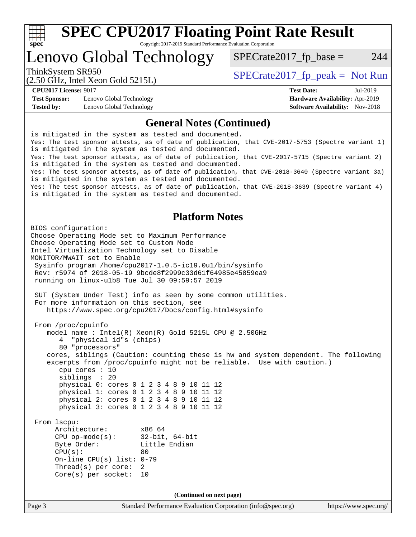

### Lenovo Global Technology

 $SPECTate2017<sub>fr</sub> base = 244$ 

(2.50 GHz, Intel Xeon Gold 5215L)

ThinkSystem SR950<br>  $SPECTI<sub>50</sub> CH<sub>51</sub> Intel Yeson Gold 5215I$   $SPECTI<sub>51</sub> CH 5215I$   $SPECTI<sub>50</sub> CH 5215I$ 

**[Test Sponsor:](http://www.spec.org/auto/cpu2017/Docs/result-fields.html#TestSponsor)** Lenovo Global Technology **[Hardware Availability:](http://www.spec.org/auto/cpu2017/Docs/result-fields.html#HardwareAvailability)** Apr-2019 **[Tested by:](http://www.spec.org/auto/cpu2017/Docs/result-fields.html#Testedby)** Lenovo Global Technology **[Software Availability:](http://www.spec.org/auto/cpu2017/Docs/result-fields.html#SoftwareAvailability)** Nov-2018

**[CPU2017 License:](http://www.spec.org/auto/cpu2017/Docs/result-fields.html#CPU2017License)** 9017 **[Test Date:](http://www.spec.org/auto/cpu2017/Docs/result-fields.html#TestDate)** Jul-2019

#### **[General Notes \(Continued\)](http://www.spec.org/auto/cpu2017/Docs/result-fields.html#GeneralNotes)**

is mitigated in the system as tested and documented. Yes: The test sponsor attests, as of date of publication, that CVE-2017-5753 (Spectre variant 1) is mitigated in the system as tested and documented. Yes: The test sponsor attests, as of date of publication, that CVE-2017-5715 (Spectre variant 2) is mitigated in the system as tested and documented. Yes: The test sponsor attests, as of date of publication, that CVE-2018-3640 (Spectre variant 3a) is mitigated in the system as tested and documented. Yes: The test sponsor attests, as of date of publication, that CVE-2018-3639 (Spectre variant 4) is mitigated in the system as tested and documented.

#### **[Platform Notes](http://www.spec.org/auto/cpu2017/Docs/result-fields.html#PlatformNotes)**

Page 3 Standard Performance Evaluation Corporation [\(info@spec.org\)](mailto:info@spec.org) <https://www.spec.org/> BIOS configuration: Choose Operating Mode set to Maximum Performance Choose Operating Mode set to Custom Mode Intel Virtualization Technology set to Disable MONITOR/MWAIT set to Enable Sysinfo program /home/cpu2017-1.0.5-ic19.0u1/bin/sysinfo Rev: r5974 of 2018-05-19 9bcde8f2999c33d61f64985e45859ea9 running on linux-u1b8 Tue Jul 30 09:59:57 2019 SUT (System Under Test) info as seen by some common utilities. For more information on this section, see <https://www.spec.org/cpu2017/Docs/config.html#sysinfo> From /proc/cpuinfo model name : Intel(R) Xeon(R) Gold 5215L CPU @ 2.50GHz 4 "physical id"s (chips) 80 "processors" cores, siblings (Caution: counting these is hw and system dependent. The following excerpts from /proc/cpuinfo might not be reliable. Use with caution.) cpu cores : 10 siblings : 20 physical 0: cores 0 1 2 3 4 8 9 10 11 12 physical 1: cores 0 1 2 3 4 8 9 10 11 12 physical 2: cores 0 1 2 3 4 8 9 10 11 12 physical 3: cores 0 1 2 3 4 8 9 10 11 12 From lscpu: Architecture: x86\_64 CPU op-mode(s): 32-bit, 64-bit Byte Order: Little Endian  $CPU(s):$  80 On-line CPU(s) list: 0-79 Thread(s) per core: 2 Core(s) per socket: 10 **(Continued on next page)**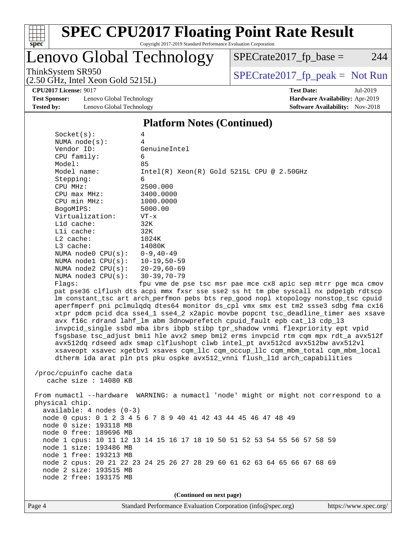

# Lenovo Global Technology

 $SPECrate2017_fp\_base = 244$ 

(2.50 GHz, Intel Xeon Gold 5215L)

ThinkSystem SR950<br>  $(2.50 \text{ GHz})$  Intel Xeon Gold 5215L)

**[CPU2017 License:](http://www.spec.org/auto/cpu2017/Docs/result-fields.html#CPU2017License)** 9017 **[Test Date:](http://www.spec.org/auto/cpu2017/Docs/result-fields.html#TestDate)** Jul-2019

**[Test Sponsor:](http://www.spec.org/auto/cpu2017/Docs/result-fields.html#TestSponsor)** Lenovo Global Technology **[Hardware Availability:](http://www.spec.org/auto/cpu2017/Docs/result-fields.html#HardwareAvailability)** Apr-2019 **[Tested by:](http://www.spec.org/auto/cpu2017/Docs/result-fields.html#Testedby)** Lenovo Global Technology **[Software Availability:](http://www.spec.org/auto/cpu2017/Docs/result-fields.html#SoftwareAvailability)** Nov-2018

#### **[Platform Notes \(Continued\)](http://www.spec.org/auto/cpu2017/Docs/result-fields.html#PlatformNotes)**

| Socket(s):                     | 4                                                                                    |
|--------------------------------|--------------------------------------------------------------------------------------|
| NUMA $node(s):$                | 4                                                                                    |
| Vendor ID:                     | GenuineIntel                                                                         |
| CPU family:                    | 6                                                                                    |
| Model:                         | 85                                                                                   |
| Model name:                    | Intel(R) Xeon(R) Gold 5215L CPU @ 2.50GHz                                            |
| Stepping:                      | 6                                                                                    |
| CPU MHz:                       | 2500.000                                                                             |
| $CPU$ $max$ $MHz$ :            | 3400.0000                                                                            |
| CPU min MHz:                   | 1000.0000                                                                            |
| BogoMIPS:                      | 5000.00                                                                              |
| Virtualization:                | $VT - x$                                                                             |
| L1d cache:                     | 32K                                                                                  |
| Lli cache:                     | 32K                                                                                  |
| $L2$ cache:                    | 1024K                                                                                |
| L3 cache:                      | 14080K                                                                               |
| NUMA $node0$ $CPU(s):$         | $0 - 9, 40 - 49$                                                                     |
| NUMA nodel CPU(s):             | 10-19,50-59                                                                          |
| NUMA node2 CPU(s): 20-29,60-69 |                                                                                      |
| NUMA node3 CPU(s): 30-39,70-79 |                                                                                      |
| Flaqs:                         | fpu vme de pse tsc msr pae mce cx8 apic sep mtrr pge mca cmov                        |
|                                | pat pse36 clflush dts acpi mmx fxsr sse sse2 ss ht tm pbe syscall nx pdpelgb rdtscp  |
|                                | lm constant_tsc art arch_perfmon pebs bts rep_good nopl xtopology nonstop_tsc cpuid  |
|                                | aperfmperf pni pclmulqdq dtes64 monitor ds_cpl vmx smx est tm2 ssse3 sdbg fma cx16   |
|                                | xtpr pdcm pcid dca sse4_1 sse4_2 x2apic movbe popcnt tsc_deadline_timer aes xsave    |
|                                |                                                                                      |
|                                | avx f16c rdrand lahf_lm abm 3dnowprefetch cpuid_fault epb cat_13 cdp_13              |
|                                | invpcid_single ssbd mba ibrs ibpb stibp tpr_shadow vnmi flexpriority ept vpid        |
|                                | fsgsbase tsc_adjust bmil hle avx2 smep bmi2 erms invpcid rtm cqm mpx rdt_a avx512f   |
|                                | avx512dq rdseed adx smap clflushopt clwb intel_pt avx512cd avx512bw avx512vl         |
|                                | xsaveopt xsavec xgetbvl xsaves cqm_llc cqm_occup_llc cqm_mbm_total cqm_mbm_local     |
|                                | dtherm ida arat pln pts pku ospke avx512_vnni flush_lld arch_capabilities            |
|                                |                                                                                      |
| /proc/cpuinfo cache data       |                                                                                      |
| cache size $: 14080$ KB        |                                                                                      |
|                                |                                                                                      |
|                                | From numactl --hardware WARNING: a numactl 'node' might or might not correspond to a |
| physical chip.                 |                                                                                      |
| $available: 4 nodes (0-3)$     |                                                                                      |
|                                | node 0 cpus: 0 1 2 3 4 5 6 7 8 9 40 41 42 43 44 45 46 47 48 49                       |
| node 0 size: 193118 MB         |                                                                                      |
| node 0 free: 189696 MB         |                                                                                      |
|                                | node 1 cpus: 10 11 12 13 14 15 16 17 18 19 50 51 52 53 54 55 56 57 58 59             |
| node 1 size: 193486 MB         |                                                                                      |
| node 1 free: 193213 MB         |                                                                                      |
|                                | node 2 cpus: 20 21 22 23 24 25 26 27 28 29 60 61 62 63 64 65 66 67 68 69             |
| node 2 size: 193515 MB         |                                                                                      |
| node 2 free: 193175 MB         |                                                                                      |
|                                |                                                                                      |

**(Continued on next page)**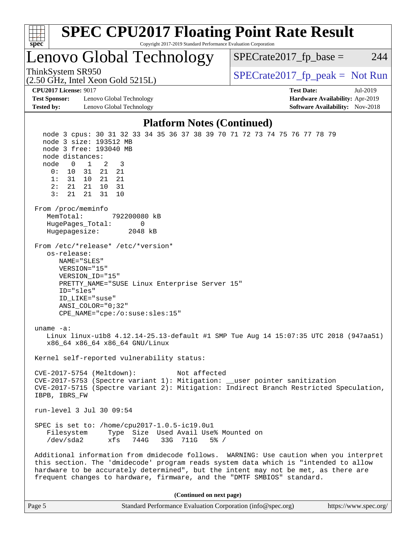| <b>SPEC CPU2017 Floating Point Rate Result</b><br>Copyright 2017-2019 Standard Performance Evaluation Corporation<br>spec <sup>®</sup>                                                                                                                                                                                                                                                                                                                                                                  |                                                                                                     |
|---------------------------------------------------------------------------------------------------------------------------------------------------------------------------------------------------------------------------------------------------------------------------------------------------------------------------------------------------------------------------------------------------------------------------------------------------------------------------------------------------------|-----------------------------------------------------------------------------------------------------|
| Lenovo Global Technology                                                                                                                                                                                                                                                                                                                                                                                                                                                                                | $SPECrate2017_fp\_base =$<br>244                                                                    |
| ThinkSystem SR950<br>$(2.50 \text{ GHz}, \text{Intel Xeon Gold } 5215L)$                                                                                                                                                                                                                                                                                                                                                                                                                                | $SPECrate2017_fp\_peak = Not Run$                                                                   |
| <b>CPU2017 License: 9017</b><br><b>Test Sponsor:</b><br>Lenovo Global Technology<br><b>Tested by:</b><br>Lenovo Global Technology                                                                                                                                                                                                                                                                                                                                                                       | <b>Test Date:</b><br>Jul-2019<br>Hardware Availability: Apr-2019<br>Software Availability: Nov-2018 |
| <b>Platform Notes (Continued)</b>                                                                                                                                                                                                                                                                                                                                                                                                                                                                       |                                                                                                     |
| node 3 cpus: 30 31 32 33 34 35 36 37 38 39 70 71 72 73 74 75 76 77 78 79<br>node 3 size: 193512 MB<br>node 3 free: 193040 MB<br>node distances:<br>node<br>$0\quad 1$<br>2<br>3<br>21<br>0:<br>10<br>31<br>21<br>1:<br>31 10 21 21<br>2:<br>21 21<br>10<br>31<br>3:<br>21<br>21<br>31<br>10<br>From /proc/meminfo<br>MemTotal:<br>792200080 kB<br>$\mathbf{0}$<br>HugePages_Total:<br>Hugepagesize:<br>2048 kB<br>From /etc/*release* /etc/*version*                                                    |                                                                                                     |
| os-release:<br>NAME="SLES"<br>VERSION="15"<br>VERSION_ID="15"<br>PRETTY_NAME="SUSE Linux Enterprise Server 15"<br>ID="sles"<br>ID LIKE="suse"<br>$ANSI$ _COLOR=" $0:32$ "<br>CPE_NAME="cpe:/o:suse:sles:15"<br>uname $-a$ :<br>Linux linux-ulb8 4.12.14-25.13-default #1 SMP Tue Aug 14 15:07:35 UTC 2018 (947aa51)<br>x86 64 x86 64 x86 64 GNU/Linux                                                                                                                                                   |                                                                                                     |
| Kernel self-reported vulnerability status:<br>CVE-2017-5754 (Meltdown):<br>Not affected<br>CVE-2017-5753 (Spectre variant 1): Mitigation: __user pointer sanitization<br>CVE-2017-5715 (Spectre variant 2): Mitigation: Indirect Branch Restricted Speculation,<br>IBPB, IBRS_FW                                                                                                                                                                                                                        |                                                                                                     |
| run-level 3 Jul 30 09:54                                                                                                                                                                                                                                                                                                                                                                                                                                                                                |                                                                                                     |
| SPEC is set to: /home/cpu2017-1.0.5-ic19.0u1<br>Filesystem<br>Type Size Used Avail Use% Mounted on<br>/dev/sda2<br>xfs<br>744G<br>33G 711G<br>$5\%$ /<br>Additional information from dmidecode follows. WARNING: Use caution when you interpret<br>this section. The 'dmidecode' program reads system data which is "intended to allow<br>hardware to be accurately determined", but the intent may not be met, as there are<br>frequent changes to hardware, firmware, and the "DMTF SMBIOS" standard. |                                                                                                     |
| (Continued on next page)                                                                                                                                                                                                                                                                                                                                                                                                                                                                                |                                                                                                     |
| Page 5<br>Standard Performance Evaluation Corporation (info@spec.org)                                                                                                                                                                                                                                                                                                                                                                                                                                   | https://www.spec.org/                                                                               |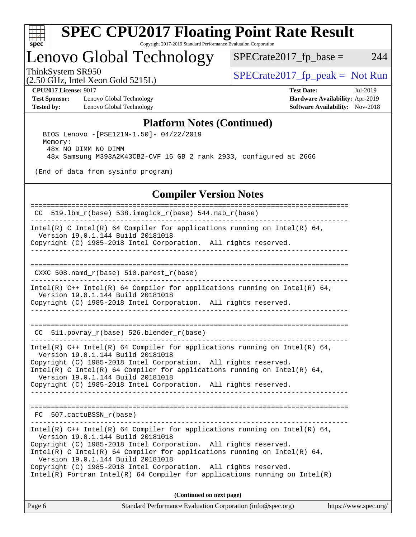

### Lenovo Global Technology

 $SPECTate2017<sub>fr</sub> base = 244$ 

(2.50 GHz, Intel Xeon Gold 5215L)

ThinkSystem SR950<br>  $SPECTI<sub>50</sub> CH<sub>5</sub> Intel Yeson Gold 5215I$   $SPECTI<sub>51</sub> Set 5215I$ 

**[Test Sponsor:](http://www.spec.org/auto/cpu2017/Docs/result-fields.html#TestSponsor)** Lenovo Global Technology **[Hardware Availability:](http://www.spec.org/auto/cpu2017/Docs/result-fields.html#HardwareAvailability)** Apr-2019 **[Tested by:](http://www.spec.org/auto/cpu2017/Docs/result-fields.html#Testedby)** Lenovo Global Technology **[Software Availability:](http://www.spec.org/auto/cpu2017/Docs/result-fields.html#SoftwareAvailability)** Nov-2018

**[CPU2017 License:](http://www.spec.org/auto/cpu2017/Docs/result-fields.html#CPU2017License)** 9017 **[Test Date:](http://www.spec.org/auto/cpu2017/Docs/result-fields.html#TestDate)** Jul-2019

#### **[Platform Notes \(Continued\)](http://www.spec.org/auto/cpu2017/Docs/result-fields.html#PlatformNotes)**

 BIOS Lenovo -[PSE121N-1.50]- 04/22/2019 Memory: 48x NO DIMM NO DIMM 48x Samsung M393A2K43CB2-CVF 16 GB 2 rank 2933, configured at 2666

(End of data from sysinfo program)

#### **[Compiler Version Notes](http://www.spec.org/auto/cpu2017/Docs/result-fields.html#CompilerVersionNotes)**

Page 6 Standard Performance Evaluation Corporation [\(info@spec.org\)](mailto:info@spec.org) <https://www.spec.org/> ============================================================================== CC 519.lbm\_r(base) 538.imagick\_r(base) 544.nab\_r(base) ------------------------------------------------------------------------------ Intel(R) C Intel(R) 64 Compiler for applications running on Intel(R) 64, Version 19.0.1.144 Build 20181018 Copyright (C) 1985-2018 Intel Corporation. All rights reserved. ------------------------------------------------------------------------------ ============================================================================== CXXC 508.namd  $r(base)$  510.parest  $r(base)$ ------------------------------------------------------------------------------ Intel(R) C++ Intel(R) 64 Compiler for applications running on Intel(R) 64, Version 19.0.1.144 Build 20181018 Copyright (C) 1985-2018 Intel Corporation. All rights reserved. ------------------------------------------------------------------------------ ============================================================================== CC 511.povray\_r(base) 526.blender\_r(base) ------------------------------------------------------------------------------ Intel(R)  $C++$  Intel(R) 64 Compiler for applications running on Intel(R) 64, Version 19.0.1.144 Build 20181018 Copyright (C) 1985-2018 Intel Corporation. All rights reserved. Intel(R) C Intel(R) 64 Compiler for applications running on Intel(R)  $64$ , Version 19.0.1.144 Build 20181018 Copyright (C) 1985-2018 Intel Corporation. All rights reserved. ------------------------------------------------------------------------------ ============================================================================== FC 507.cactuBSSN\_r(base) ------------------------------------------------------------------------------ Intel(R)  $C++$  Intel(R) 64 Compiler for applications running on Intel(R) 64, Version 19.0.1.144 Build 20181018 Copyright (C) 1985-2018 Intel Corporation. All rights reserved. Intel(R) C Intel(R) 64 Compiler for applications running on Intel(R)  $64$ , Version 19.0.1.144 Build 20181018 Copyright (C) 1985-2018 Intel Corporation. All rights reserved. Intel(R) Fortran Intel(R) 64 Compiler for applications running on Intel(R) **(Continued on next page)**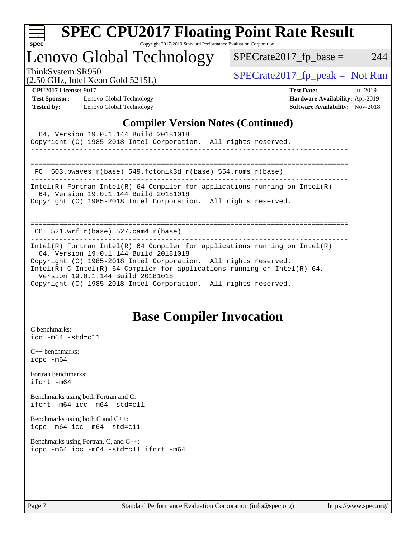| S.<br>De<br>ι. |  |  |  |  |
|----------------|--|--|--|--|

# **[SPEC CPU2017 Floating Point Rate Result](http://www.spec.org/auto/cpu2017/Docs/result-fields.html#SPECCPU2017FloatingPointRateResult)**

Copyright 2017-2019 Standard Performance Evaluation Corporation

### Lenovo Global Technology

ThinkSystem SR950<br>  $\begin{array}{r} \text{SPECrate2017\_fp\_peak = Not Run} \\ \text{SPECrate2017\_fp\_peak = Not Run} \end{array}$ 

 $SPECrate2017_fp\_base = 244$ 

|  |  | (2.50 GHz, Intel Xeon Gold 5215L) |
|--|--|-----------------------------------|

**[CPU2017 License:](http://www.spec.org/auto/cpu2017/Docs/result-fields.html#CPU2017License)** 9017 **[Test Date:](http://www.spec.org/auto/cpu2017/Docs/result-fields.html#TestDate)** Jul-2019 **[Test Sponsor:](http://www.spec.org/auto/cpu2017/Docs/result-fields.html#TestSponsor)** Lenovo Global Technology **[Hardware Availability:](http://www.spec.org/auto/cpu2017/Docs/result-fields.html#HardwareAvailability)** Apr-2019 **[Tested by:](http://www.spec.org/auto/cpu2017/Docs/result-fields.html#Testedby)** Lenovo Global Technology **[Software Availability:](http://www.spec.org/auto/cpu2017/Docs/result-fields.html#SoftwareAvailability)** Nov-2018

#### **[Compiler Version Notes \(Continued\)](http://www.spec.org/auto/cpu2017/Docs/result-fields.html#CompilerVersionNotes)**

| 64, Version 19.0.1.144 Build 20181018<br>Copyright (C) 1985-2018 Intel Corporation. All rights reserved.                                                                                                                                                                                                                                                                   |
|----------------------------------------------------------------------------------------------------------------------------------------------------------------------------------------------------------------------------------------------------------------------------------------------------------------------------------------------------------------------------|
| 503.bwaves $r(base)$ 549.fotonik3d $r(base)$ 554.roms $r(base)$<br>FC.                                                                                                                                                                                                                                                                                                     |
| Intel(R) Fortran Intel(R) 64 Compiler for applications running on Intel(R)<br>64, Version 19.0.1.144 Build 20181018<br>Copyright (C) 1985-2018 Intel Corporation. All rights reserved.                                                                                                                                                                                     |
| =============<br>======================<br>CC $521.$ wrf r(base) 527.cam4 r(base)                                                                                                                                                                                                                                                                                          |
| Intel(R) Fortran Intel(R) 64 Compiler for applications running on Intel(R)<br>64, Version 19.0.1.144 Build 20181018<br>Copyright (C) 1985-2018 Intel Corporation. All rights reserved.<br>Intel(R) C Intel(R) 64 Compiler for applications running on Intel(R) 64,<br>Version 19.0.1.144 Build 20181018<br>Copyright (C) 1985-2018 Intel Corporation. All rights reserved. |

### **[Base Compiler Invocation](http://www.spec.org/auto/cpu2017/Docs/result-fields.html#BaseCompilerInvocation)**

[C benchmarks](http://www.spec.org/auto/cpu2017/Docs/result-fields.html#Cbenchmarks): [icc -m64 -std=c11](http://www.spec.org/cpu2017/results/res2019q3/cpu2017-20190805-16653.flags.html#user_CCbase_intel_icc_64bit_c11_33ee0cdaae7deeeab2a9725423ba97205ce30f63b9926c2519791662299b76a0318f32ddfffdc46587804de3178b4f9328c46fa7c2b0cd779d7a61945c91cd35)

[C++ benchmarks:](http://www.spec.org/auto/cpu2017/Docs/result-fields.html#CXXbenchmarks) [icpc -m64](http://www.spec.org/cpu2017/results/res2019q3/cpu2017-20190805-16653.flags.html#user_CXXbase_intel_icpc_64bit_4ecb2543ae3f1412ef961e0650ca070fec7b7afdcd6ed48761b84423119d1bf6bdf5cad15b44d48e7256388bc77273b966e5eb805aefd121eb22e9299b2ec9d9)

[Fortran benchmarks](http://www.spec.org/auto/cpu2017/Docs/result-fields.html#Fortranbenchmarks): [ifort -m64](http://www.spec.org/cpu2017/results/res2019q3/cpu2017-20190805-16653.flags.html#user_FCbase_intel_ifort_64bit_24f2bb282fbaeffd6157abe4f878425411749daecae9a33200eee2bee2fe76f3b89351d69a8130dd5949958ce389cf37ff59a95e7a40d588e8d3a57e0c3fd751)

[Benchmarks using both Fortran and C](http://www.spec.org/auto/cpu2017/Docs/result-fields.html#BenchmarksusingbothFortranandC): [ifort -m64](http://www.spec.org/cpu2017/results/res2019q3/cpu2017-20190805-16653.flags.html#user_CC_FCbase_intel_ifort_64bit_24f2bb282fbaeffd6157abe4f878425411749daecae9a33200eee2bee2fe76f3b89351d69a8130dd5949958ce389cf37ff59a95e7a40d588e8d3a57e0c3fd751) [icc -m64 -std=c11](http://www.spec.org/cpu2017/results/res2019q3/cpu2017-20190805-16653.flags.html#user_CC_FCbase_intel_icc_64bit_c11_33ee0cdaae7deeeab2a9725423ba97205ce30f63b9926c2519791662299b76a0318f32ddfffdc46587804de3178b4f9328c46fa7c2b0cd779d7a61945c91cd35)

[Benchmarks using both C and C++](http://www.spec.org/auto/cpu2017/Docs/result-fields.html#BenchmarksusingbothCandCXX): [icpc -m64](http://www.spec.org/cpu2017/results/res2019q3/cpu2017-20190805-16653.flags.html#user_CC_CXXbase_intel_icpc_64bit_4ecb2543ae3f1412ef961e0650ca070fec7b7afdcd6ed48761b84423119d1bf6bdf5cad15b44d48e7256388bc77273b966e5eb805aefd121eb22e9299b2ec9d9) [icc -m64 -std=c11](http://www.spec.org/cpu2017/results/res2019q3/cpu2017-20190805-16653.flags.html#user_CC_CXXbase_intel_icc_64bit_c11_33ee0cdaae7deeeab2a9725423ba97205ce30f63b9926c2519791662299b76a0318f32ddfffdc46587804de3178b4f9328c46fa7c2b0cd779d7a61945c91cd35)

[Benchmarks using Fortran, C, and C++:](http://www.spec.org/auto/cpu2017/Docs/result-fields.html#BenchmarksusingFortranCandCXX) [icpc -m64](http://www.spec.org/cpu2017/results/res2019q3/cpu2017-20190805-16653.flags.html#user_CC_CXX_FCbase_intel_icpc_64bit_4ecb2543ae3f1412ef961e0650ca070fec7b7afdcd6ed48761b84423119d1bf6bdf5cad15b44d48e7256388bc77273b966e5eb805aefd121eb22e9299b2ec9d9) [icc -m64 -std=c11](http://www.spec.org/cpu2017/results/res2019q3/cpu2017-20190805-16653.flags.html#user_CC_CXX_FCbase_intel_icc_64bit_c11_33ee0cdaae7deeeab2a9725423ba97205ce30f63b9926c2519791662299b76a0318f32ddfffdc46587804de3178b4f9328c46fa7c2b0cd779d7a61945c91cd35) [ifort -m64](http://www.spec.org/cpu2017/results/res2019q3/cpu2017-20190805-16653.flags.html#user_CC_CXX_FCbase_intel_ifort_64bit_24f2bb282fbaeffd6157abe4f878425411749daecae9a33200eee2bee2fe76f3b89351d69a8130dd5949958ce389cf37ff59a95e7a40d588e8d3a57e0c3fd751)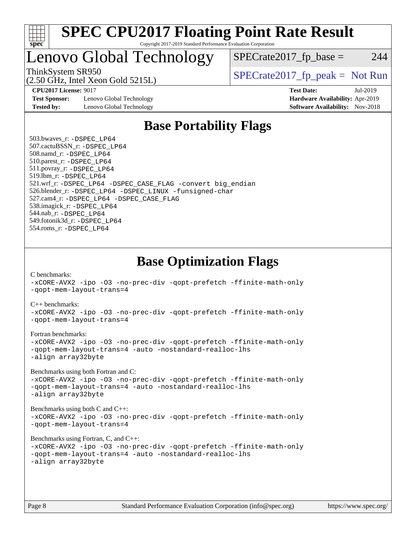

### Lenovo Global Technology

(2.50 GHz, Intel Xeon Gold 5215L)

ThinkSystem SR950<br>  $S$ PECrate2017\_fp\_peak = Not Run

 $SPECTate2017<sub>fr</sub> base = 244$ 

**[Test Sponsor:](http://www.spec.org/auto/cpu2017/Docs/result-fields.html#TestSponsor)** Lenovo Global Technology **[Hardware Availability:](http://www.spec.org/auto/cpu2017/Docs/result-fields.html#HardwareAvailability)** Apr-2019 **[Tested by:](http://www.spec.org/auto/cpu2017/Docs/result-fields.html#Testedby)** Lenovo Global Technology **[Software Availability:](http://www.spec.org/auto/cpu2017/Docs/result-fields.html#SoftwareAvailability)** Nov-2018

**[CPU2017 License:](http://www.spec.org/auto/cpu2017/Docs/result-fields.html#CPU2017License)** 9017 **[Test Date:](http://www.spec.org/auto/cpu2017/Docs/result-fields.html#TestDate)** Jul-2019

### **[Base Portability Flags](http://www.spec.org/auto/cpu2017/Docs/result-fields.html#BasePortabilityFlags)**

 503.bwaves\_r: [-DSPEC\\_LP64](http://www.spec.org/cpu2017/results/res2019q3/cpu2017-20190805-16653.flags.html#suite_basePORTABILITY503_bwaves_r_DSPEC_LP64) 507.cactuBSSN\_r: [-DSPEC\\_LP64](http://www.spec.org/cpu2017/results/res2019q3/cpu2017-20190805-16653.flags.html#suite_basePORTABILITY507_cactuBSSN_r_DSPEC_LP64) 508.namd\_r: [-DSPEC\\_LP64](http://www.spec.org/cpu2017/results/res2019q3/cpu2017-20190805-16653.flags.html#suite_basePORTABILITY508_namd_r_DSPEC_LP64) 510.parest\_r: [-DSPEC\\_LP64](http://www.spec.org/cpu2017/results/res2019q3/cpu2017-20190805-16653.flags.html#suite_basePORTABILITY510_parest_r_DSPEC_LP64) 511.povray\_r: [-DSPEC\\_LP64](http://www.spec.org/cpu2017/results/res2019q3/cpu2017-20190805-16653.flags.html#suite_basePORTABILITY511_povray_r_DSPEC_LP64) 519.lbm\_r: [-DSPEC\\_LP64](http://www.spec.org/cpu2017/results/res2019q3/cpu2017-20190805-16653.flags.html#suite_basePORTABILITY519_lbm_r_DSPEC_LP64) 521.wrf\_r: [-DSPEC\\_LP64](http://www.spec.org/cpu2017/results/res2019q3/cpu2017-20190805-16653.flags.html#suite_basePORTABILITY521_wrf_r_DSPEC_LP64) [-DSPEC\\_CASE\\_FLAG](http://www.spec.org/cpu2017/results/res2019q3/cpu2017-20190805-16653.flags.html#b521.wrf_r_baseCPORTABILITY_DSPEC_CASE_FLAG) [-convert big\\_endian](http://www.spec.org/cpu2017/results/res2019q3/cpu2017-20190805-16653.flags.html#user_baseFPORTABILITY521_wrf_r_convert_big_endian_c3194028bc08c63ac5d04de18c48ce6d347e4e562e8892b8bdbdc0214820426deb8554edfa529a3fb25a586e65a3d812c835984020483e7e73212c4d31a38223) 526.blender\_r: [-DSPEC\\_LP64](http://www.spec.org/cpu2017/results/res2019q3/cpu2017-20190805-16653.flags.html#suite_basePORTABILITY526_blender_r_DSPEC_LP64) [-DSPEC\\_LINUX](http://www.spec.org/cpu2017/results/res2019q3/cpu2017-20190805-16653.flags.html#b526.blender_r_baseCPORTABILITY_DSPEC_LINUX) [-funsigned-char](http://www.spec.org/cpu2017/results/res2019q3/cpu2017-20190805-16653.flags.html#user_baseCPORTABILITY526_blender_r_force_uchar_40c60f00ab013830e2dd6774aeded3ff59883ba5a1fc5fc14077f794d777847726e2a5858cbc7672e36e1b067e7e5c1d9a74f7176df07886a243d7cc18edfe67) 527.cam4\_r: [-DSPEC\\_LP64](http://www.spec.org/cpu2017/results/res2019q3/cpu2017-20190805-16653.flags.html#suite_basePORTABILITY527_cam4_r_DSPEC_LP64) [-DSPEC\\_CASE\\_FLAG](http://www.spec.org/cpu2017/results/res2019q3/cpu2017-20190805-16653.flags.html#b527.cam4_r_baseCPORTABILITY_DSPEC_CASE_FLAG) 538.imagick\_r: [-DSPEC\\_LP64](http://www.spec.org/cpu2017/results/res2019q3/cpu2017-20190805-16653.flags.html#suite_basePORTABILITY538_imagick_r_DSPEC_LP64) 544.nab\_r: [-DSPEC\\_LP64](http://www.spec.org/cpu2017/results/res2019q3/cpu2017-20190805-16653.flags.html#suite_basePORTABILITY544_nab_r_DSPEC_LP64) 549.fotonik3d\_r: [-DSPEC\\_LP64](http://www.spec.org/cpu2017/results/res2019q3/cpu2017-20190805-16653.flags.html#suite_basePORTABILITY549_fotonik3d_r_DSPEC_LP64) 554.roms\_r: [-DSPEC\\_LP64](http://www.spec.org/cpu2017/results/res2019q3/cpu2017-20190805-16653.flags.html#suite_basePORTABILITY554_roms_r_DSPEC_LP64)

**[Base Optimization Flags](http://www.spec.org/auto/cpu2017/Docs/result-fields.html#BaseOptimizationFlags)**

[C benchmarks](http://www.spec.org/auto/cpu2017/Docs/result-fields.html#Cbenchmarks):

[-xCORE-AVX2](http://www.spec.org/cpu2017/results/res2019q3/cpu2017-20190805-16653.flags.html#user_CCbase_f-xCORE-AVX2) [-ipo](http://www.spec.org/cpu2017/results/res2019q3/cpu2017-20190805-16653.flags.html#user_CCbase_f-ipo) [-O3](http://www.spec.org/cpu2017/results/res2019q3/cpu2017-20190805-16653.flags.html#user_CCbase_f-O3) [-no-prec-div](http://www.spec.org/cpu2017/results/res2019q3/cpu2017-20190805-16653.flags.html#user_CCbase_f-no-prec-div) [-qopt-prefetch](http://www.spec.org/cpu2017/results/res2019q3/cpu2017-20190805-16653.flags.html#user_CCbase_f-qopt-prefetch) [-ffinite-math-only](http://www.spec.org/cpu2017/results/res2019q3/cpu2017-20190805-16653.flags.html#user_CCbase_f_finite_math_only_cb91587bd2077682c4b38af759c288ed7c732db004271a9512da14a4f8007909a5f1427ecbf1a0fb78ff2a814402c6114ac565ca162485bbcae155b5e4258871) [-qopt-mem-layout-trans=4](http://www.spec.org/cpu2017/results/res2019q3/cpu2017-20190805-16653.flags.html#user_CCbase_f-qopt-mem-layout-trans_fa39e755916c150a61361b7846f310bcdf6f04e385ef281cadf3647acec3f0ae266d1a1d22d972a7087a248fd4e6ca390a3634700869573d231a252c784941a8) [C++ benchmarks:](http://www.spec.org/auto/cpu2017/Docs/result-fields.html#CXXbenchmarks) [-xCORE-AVX2](http://www.spec.org/cpu2017/results/res2019q3/cpu2017-20190805-16653.flags.html#user_CXXbase_f-xCORE-AVX2) [-ipo](http://www.spec.org/cpu2017/results/res2019q3/cpu2017-20190805-16653.flags.html#user_CXXbase_f-ipo) [-O3](http://www.spec.org/cpu2017/results/res2019q3/cpu2017-20190805-16653.flags.html#user_CXXbase_f-O3) [-no-prec-div](http://www.spec.org/cpu2017/results/res2019q3/cpu2017-20190805-16653.flags.html#user_CXXbase_f-no-prec-div) [-qopt-prefetch](http://www.spec.org/cpu2017/results/res2019q3/cpu2017-20190805-16653.flags.html#user_CXXbase_f-qopt-prefetch) [-ffinite-math-only](http://www.spec.org/cpu2017/results/res2019q3/cpu2017-20190805-16653.flags.html#user_CXXbase_f_finite_math_only_cb91587bd2077682c4b38af759c288ed7c732db004271a9512da14a4f8007909a5f1427ecbf1a0fb78ff2a814402c6114ac565ca162485bbcae155b5e4258871) [-qopt-mem-layout-trans=4](http://www.spec.org/cpu2017/results/res2019q3/cpu2017-20190805-16653.flags.html#user_CXXbase_f-qopt-mem-layout-trans_fa39e755916c150a61361b7846f310bcdf6f04e385ef281cadf3647acec3f0ae266d1a1d22d972a7087a248fd4e6ca390a3634700869573d231a252c784941a8) [Fortran benchmarks](http://www.spec.org/auto/cpu2017/Docs/result-fields.html#Fortranbenchmarks): [-xCORE-AVX2](http://www.spec.org/cpu2017/results/res2019q3/cpu2017-20190805-16653.flags.html#user_FCbase_f-xCORE-AVX2) [-ipo](http://www.spec.org/cpu2017/results/res2019q3/cpu2017-20190805-16653.flags.html#user_FCbase_f-ipo) [-O3](http://www.spec.org/cpu2017/results/res2019q3/cpu2017-20190805-16653.flags.html#user_FCbase_f-O3) [-no-prec-div](http://www.spec.org/cpu2017/results/res2019q3/cpu2017-20190805-16653.flags.html#user_FCbase_f-no-prec-div) [-qopt-prefetch](http://www.spec.org/cpu2017/results/res2019q3/cpu2017-20190805-16653.flags.html#user_FCbase_f-qopt-prefetch) [-ffinite-math-only](http://www.spec.org/cpu2017/results/res2019q3/cpu2017-20190805-16653.flags.html#user_FCbase_f_finite_math_only_cb91587bd2077682c4b38af759c288ed7c732db004271a9512da14a4f8007909a5f1427ecbf1a0fb78ff2a814402c6114ac565ca162485bbcae155b5e4258871) [-qopt-mem-layout-trans=4](http://www.spec.org/cpu2017/results/res2019q3/cpu2017-20190805-16653.flags.html#user_FCbase_f-qopt-mem-layout-trans_fa39e755916c150a61361b7846f310bcdf6f04e385ef281cadf3647acec3f0ae266d1a1d22d972a7087a248fd4e6ca390a3634700869573d231a252c784941a8) [-auto](http://www.spec.org/cpu2017/results/res2019q3/cpu2017-20190805-16653.flags.html#user_FCbase_f-auto) [-nostandard-realloc-lhs](http://www.spec.org/cpu2017/results/res2019q3/cpu2017-20190805-16653.flags.html#user_FCbase_f_2003_std_realloc_82b4557e90729c0f113870c07e44d33d6f5a304b4f63d4c15d2d0f1fab99f5daaed73bdb9275d9ae411527f28b936061aa8b9c8f2d63842963b95c9dd6426b8a) [-align array32byte](http://www.spec.org/cpu2017/results/res2019q3/cpu2017-20190805-16653.flags.html#user_FCbase_align_array32byte_b982fe038af199962ba9a80c053b8342c548c85b40b8e86eb3cc33dee0d7986a4af373ac2d51c3f7cf710a18d62fdce2948f201cd044323541f22fc0fffc51b6) [Benchmarks using both Fortran and C](http://www.spec.org/auto/cpu2017/Docs/result-fields.html#BenchmarksusingbothFortranandC): [-xCORE-AVX2](http://www.spec.org/cpu2017/results/res2019q3/cpu2017-20190805-16653.flags.html#user_CC_FCbase_f-xCORE-AVX2) [-ipo](http://www.spec.org/cpu2017/results/res2019q3/cpu2017-20190805-16653.flags.html#user_CC_FCbase_f-ipo) [-O3](http://www.spec.org/cpu2017/results/res2019q3/cpu2017-20190805-16653.flags.html#user_CC_FCbase_f-O3) [-no-prec-div](http://www.spec.org/cpu2017/results/res2019q3/cpu2017-20190805-16653.flags.html#user_CC_FCbase_f-no-prec-div) [-qopt-prefetch](http://www.spec.org/cpu2017/results/res2019q3/cpu2017-20190805-16653.flags.html#user_CC_FCbase_f-qopt-prefetch) [-ffinite-math-only](http://www.spec.org/cpu2017/results/res2019q3/cpu2017-20190805-16653.flags.html#user_CC_FCbase_f_finite_math_only_cb91587bd2077682c4b38af759c288ed7c732db004271a9512da14a4f8007909a5f1427ecbf1a0fb78ff2a814402c6114ac565ca162485bbcae155b5e4258871) [-qopt-mem-layout-trans=4](http://www.spec.org/cpu2017/results/res2019q3/cpu2017-20190805-16653.flags.html#user_CC_FCbase_f-qopt-mem-layout-trans_fa39e755916c150a61361b7846f310bcdf6f04e385ef281cadf3647acec3f0ae266d1a1d22d972a7087a248fd4e6ca390a3634700869573d231a252c784941a8) [-auto](http://www.spec.org/cpu2017/results/res2019q3/cpu2017-20190805-16653.flags.html#user_CC_FCbase_f-auto) [-nostandard-realloc-lhs](http://www.spec.org/cpu2017/results/res2019q3/cpu2017-20190805-16653.flags.html#user_CC_FCbase_f_2003_std_realloc_82b4557e90729c0f113870c07e44d33d6f5a304b4f63d4c15d2d0f1fab99f5daaed73bdb9275d9ae411527f28b936061aa8b9c8f2d63842963b95c9dd6426b8a) [-align array32byte](http://www.spec.org/cpu2017/results/res2019q3/cpu2017-20190805-16653.flags.html#user_CC_FCbase_align_array32byte_b982fe038af199962ba9a80c053b8342c548c85b40b8e86eb3cc33dee0d7986a4af373ac2d51c3f7cf710a18d62fdce2948f201cd044323541f22fc0fffc51b6) [Benchmarks using both C and C++](http://www.spec.org/auto/cpu2017/Docs/result-fields.html#BenchmarksusingbothCandCXX): [-xCORE-AVX2](http://www.spec.org/cpu2017/results/res2019q3/cpu2017-20190805-16653.flags.html#user_CC_CXXbase_f-xCORE-AVX2) [-ipo](http://www.spec.org/cpu2017/results/res2019q3/cpu2017-20190805-16653.flags.html#user_CC_CXXbase_f-ipo) [-O3](http://www.spec.org/cpu2017/results/res2019q3/cpu2017-20190805-16653.flags.html#user_CC_CXXbase_f-O3) [-no-prec-div](http://www.spec.org/cpu2017/results/res2019q3/cpu2017-20190805-16653.flags.html#user_CC_CXXbase_f-no-prec-div) [-qopt-prefetch](http://www.spec.org/cpu2017/results/res2019q3/cpu2017-20190805-16653.flags.html#user_CC_CXXbase_f-qopt-prefetch) [-ffinite-math-only](http://www.spec.org/cpu2017/results/res2019q3/cpu2017-20190805-16653.flags.html#user_CC_CXXbase_f_finite_math_only_cb91587bd2077682c4b38af759c288ed7c732db004271a9512da14a4f8007909a5f1427ecbf1a0fb78ff2a814402c6114ac565ca162485bbcae155b5e4258871) [-qopt-mem-layout-trans=4](http://www.spec.org/cpu2017/results/res2019q3/cpu2017-20190805-16653.flags.html#user_CC_CXXbase_f-qopt-mem-layout-trans_fa39e755916c150a61361b7846f310bcdf6f04e385ef281cadf3647acec3f0ae266d1a1d22d972a7087a248fd4e6ca390a3634700869573d231a252c784941a8) [Benchmarks using Fortran, C, and C++:](http://www.spec.org/auto/cpu2017/Docs/result-fields.html#BenchmarksusingFortranCandCXX) [-xCORE-AVX2](http://www.spec.org/cpu2017/results/res2019q3/cpu2017-20190805-16653.flags.html#user_CC_CXX_FCbase_f-xCORE-AVX2) [-ipo](http://www.spec.org/cpu2017/results/res2019q3/cpu2017-20190805-16653.flags.html#user_CC_CXX_FCbase_f-ipo) [-O3](http://www.spec.org/cpu2017/results/res2019q3/cpu2017-20190805-16653.flags.html#user_CC_CXX_FCbase_f-O3) [-no-prec-div](http://www.spec.org/cpu2017/results/res2019q3/cpu2017-20190805-16653.flags.html#user_CC_CXX_FCbase_f-no-prec-div) [-qopt-prefetch](http://www.spec.org/cpu2017/results/res2019q3/cpu2017-20190805-16653.flags.html#user_CC_CXX_FCbase_f-qopt-prefetch) [-ffinite-math-only](http://www.spec.org/cpu2017/results/res2019q3/cpu2017-20190805-16653.flags.html#user_CC_CXX_FCbase_f_finite_math_only_cb91587bd2077682c4b38af759c288ed7c732db004271a9512da14a4f8007909a5f1427ecbf1a0fb78ff2a814402c6114ac565ca162485bbcae155b5e4258871) [-qopt-mem-layout-trans=4](http://www.spec.org/cpu2017/results/res2019q3/cpu2017-20190805-16653.flags.html#user_CC_CXX_FCbase_f-qopt-mem-layout-trans_fa39e755916c150a61361b7846f310bcdf6f04e385ef281cadf3647acec3f0ae266d1a1d22d972a7087a248fd4e6ca390a3634700869573d231a252c784941a8) [-auto](http://www.spec.org/cpu2017/results/res2019q3/cpu2017-20190805-16653.flags.html#user_CC_CXX_FCbase_f-auto) [-nostandard-realloc-lhs](http://www.spec.org/cpu2017/results/res2019q3/cpu2017-20190805-16653.flags.html#user_CC_CXX_FCbase_f_2003_std_realloc_82b4557e90729c0f113870c07e44d33d6f5a304b4f63d4c15d2d0f1fab99f5daaed73bdb9275d9ae411527f28b936061aa8b9c8f2d63842963b95c9dd6426b8a) [-align array32byte](http://www.spec.org/cpu2017/results/res2019q3/cpu2017-20190805-16653.flags.html#user_CC_CXX_FCbase_align_array32byte_b982fe038af199962ba9a80c053b8342c548c85b40b8e86eb3cc33dee0d7986a4af373ac2d51c3f7cf710a18d62fdce2948f201cd044323541f22fc0fffc51b6)